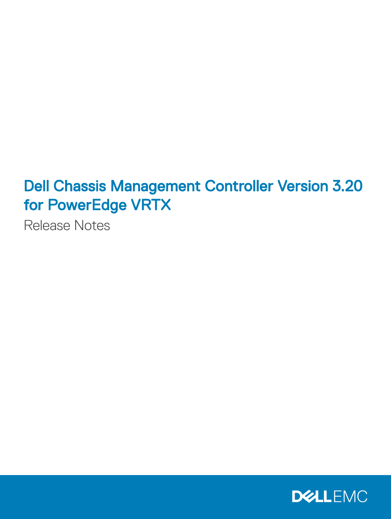# Dell Chassis Management Controller Version 3.20 for PowerEdge VRTX

Release Notes

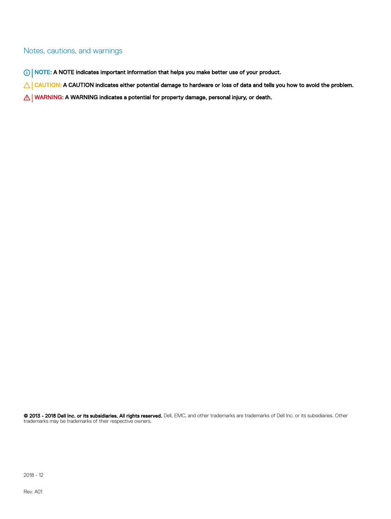#### Notes, cautions, and warnings

- NOTE: A NOTE indicates important information that helps you make better use of your product.
- **A CAUTION:** A CAUTION indicates either potential damage to hardware or loss of data and tells you how to avoid the problem.
- **A WARNING: A WARNING indicates a potential for property damage, personal injury, or death.**

© 2013 - 2018 Dell Inc. or its subsidiaries. All rights reserved. Dell, EMC, and other trademarks are trademarks of Dell Inc. or its subsidiaries. Other trademarks may be trademarks of their respective owners.

2018 - 12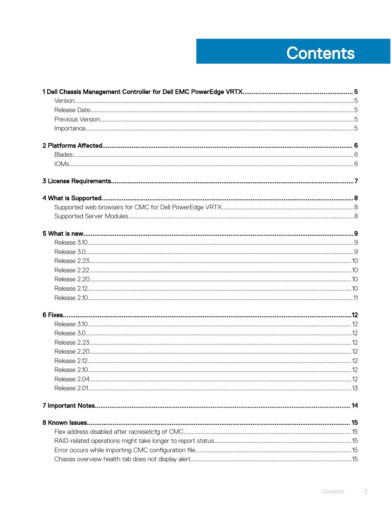# **Contents**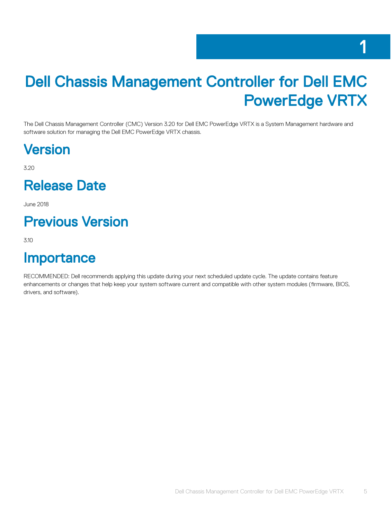# <span id="page-4-0"></span>Dell Chassis Management Controller for Dell EMC PowerEdge VRTX

The Dell Chassis Management Controller (CMC) Version 3.20 for Dell EMC PowerEdge VRTX is a System Management hardware and software solution for managing the Dell EMC PowerEdge VRTX chassis.

### Version

3.20

#### Release Date

June 2018

### Previous Version

3.10

#### **Importance**

RECOMMENDED: Dell recommends applying this update during your next scheduled update cycle. The update contains feature enhancements or changes that help keep your system software current and compatible with other system modules (firmware, BIOS, drivers, and software).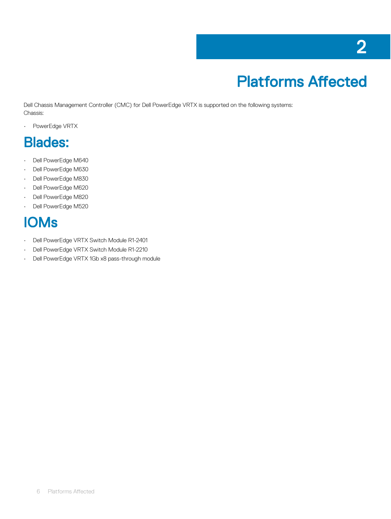# Platforms Affected

<span id="page-5-0"></span>Dell Chassis Management Controller (CMC) for Dell PowerEdge VRTX is supported on the following systems: Chassis:

• PowerEdge VRTX

#### Blades:

- Dell PowerEdge M640
- Dell PowerEdge M630
- Dell PowerEdge M830
- Dell PowerEdge M620
- Dell PowerEdge M820
- Dell PowerEdge M520

## IOMs

- Dell PowerEdge VRTX Switch Module R1-2401
- Dell PowerEdge VRTX Switch Module R1-2210
- Dell PowerEdge VRTX 1Gb x8 pass-through module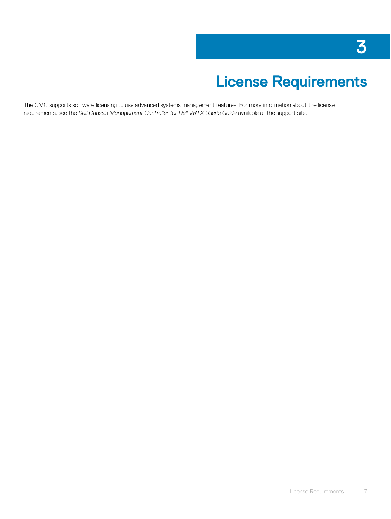# License Requirements

<span id="page-6-0"></span>The CMC supports software licensing to use advanced systems management features. For more information about the license requirements, see the *Dell Chassis Management Controller for Dell VRTX User's Guide* available at the support site.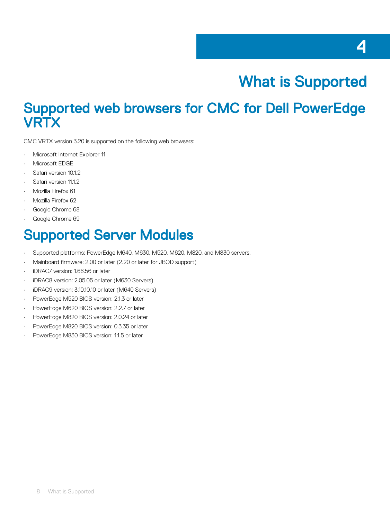# What is Supported

#### <span id="page-7-0"></span>Supported web browsers for CMC for Dell PowerEdge **VRTX**

CMC VRTX version 3.20 is supported on the following web browsers:

- Microsoft Internet Explorer 11
- Microsoft EDGE
- Safari version 10.1.2
- Safari version 11.1.2
- Mozilla Firefox 61
- Mozilla Firefox 62
- Google Chrome 68
- Google Chrome 69

#### Supported Server Modules

- Supported platforms: PowerEdge M640, M630, M520, M620, M820, and M830 servers.
- Mainboard firmware: 2.00 or later (2.20 or later for JBOD support)
- iDRAC7 version: 1.66.56 or later
- iDRAC8 version: 2.05.05 or later (M630 Servers)
- iDRAC9 version: 3.10.10.10 or later (M640 Servers)
- PowerEdge M520 BIOS version: 2.1.3 or later
- PowerEdge M620 BIOS version: 2.2.7 or later
- PowerEdge M820 BIOS version: 2.0.24 or later
- PowerEdge M820 BIOS version: 0.3.35 or later
- PowerEdge M830 BIOS version: 1.1.5 or later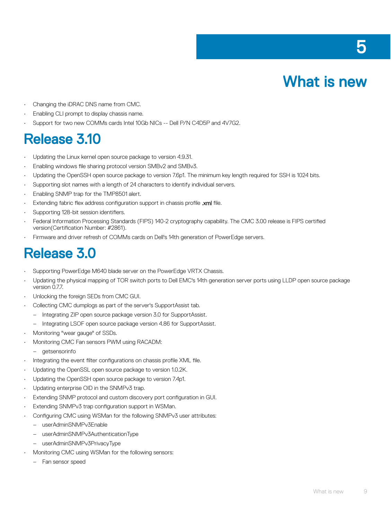

- <span id="page-8-0"></span>• Changing the iDRAC DNS name from CMC.
- Enabling CLI prompt to display chassis name.
- Support for two new COMMs cards Intel 10Gb NICs -- Dell P/N C4D5P and 4V7G2.

#### Release 3.10

- Updating the Linux kernel open source package to version 4.9.31.
- Enabling windows file sharing protocol version SMBv2 and SMBv3.
- Updating the OpenSSH open source package to version 7.6p1. The minimum key length required for SSH is 1024 bits.
- Supporting slot names with a length of 24 characters to identify individual servers.
- Enabling SNMP trap for the TMP8501 alert.
- Extending fabric flex address configuration support in chassis profile .xml file.
- Supporting 128-bit session identifiers.
- Federal Information Processing Standards (FIPS) 140-2 cryptography capability. The CMC 3.00 release is FIPS certied version(Certification Number: #2861).
- Firmware and driver refresh of COMMs cards on Dell's 14th generation of PowerEdge servers.

#### Release 3.0

- Supporting PowerEdge M640 blade server on the PowerEdge VRTX Chassis.
- Updating the physical mapping of TOR switch ports to Dell EMC's 14th generation server ports using LLDP open source package version 0.7.7.
- Unlocking the foreign SEDs from CMC GUI.
- Collecting CMC dumplogs as part of the server's SupportAssist tab.
	- Integrating ZIP open source package version 3.0 for SupportAssist.
	- Integrating LSOF open source package version 4.86 for SupportAssist.
- Monitoring "wear gauge" of SSDs.
- Monitoring CMC Fan sensors PWM using RACADM:
	- getsensorinfo
- Integrating the event filter configurations on chassis profile XML file.
- Updating the OpenSSL open source package to version 1.0.2K.
- Updating the OpenSSH open source package to version 7.4p1.
- Updating enterprise OID in the SNMPv3 trap.
- Extending SNMP protocol and custom discovery port configuration in GUI.
- Extending SNMPv3 trap configuration support in WSMan.
- Configuring CMC using WSMan for the following SNMPv3 user attributes:
	- userAdminSNMPv3Enable
	- userAdminSNMPv3AuthenticationType
	- userAdminSNMPv3PrivacyType
	- Monitoring CMC using WSMan for the following sensors:
		- Fan sensor speed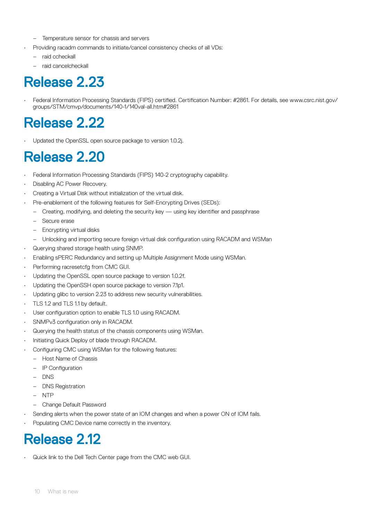- <span id="page-9-0"></span>– Temperature sensor for chassis and servers
- Providing racadm commands to initiate/cancel consistency checks of all VDs:
	- raid ccheckall
	- raid cancelcheckall

## Release 2.23

Federal Information Processing Standards (FIPS) certified. Certification Number: #2861. For details, see www.csrc.nist.gov/ groups/STM/cmvp/documents/140-1/140val-all.htm#2861

### Release 2.22

Updated the OpenSSL open source package to version 1.0.2j.

#### Release 2.20

- Federal Information Processing Standards (FIPS) 140-2 cryptography capability.
- Disabling AC Power Recovery.
- Creating a Virtual Disk without initialization of the virtual disk.
- Pre-enablement of the following features for Self-Encrypting Drives (SEDs):
	- Creating, modifying, and deleting the security key  $-$  using key identifier and passphrase
	- Secure erase
	- Encrypting virtual disks
	- Unlocking and importing secure foreign virtual disk configuration using RACADM and WSMan
- Querying shared storage health using SNMP.
- Enabling sPERC Redundancy and setting up Multiple Assignment Mode using WSMan.
- Performing racresetcfg from CMC GUI.
- Updating the OpenSSL open source package to version 1.0.2f.
- Updating the OpenSSH open source package to version 7.1p1.
- Updating glibc to version 2.23 to address new security vulnerabilities.
- TLS 1.2 and TLS 1.1 by default.
- User configuration option to enable TLS 1.0 using RACADM.
- SNMPv3 configuration only in RACADM.
- Querying the health status of the chassis components using WSMan.
- Initiating Quick Deploy of blade through RACADM.
- Configuring CMC using WSMan for the following features:
	- Host Name of Chassis
	- IP Configuration
	- DNS
	- DNS Registration
	- NTP
	- Change Default Password
- Sending alerts when the power state of an IOM changes and when a power ON of IOM fails.
- Populating CMC Device name correctly in the inventory.

### Release 2.12

• Quick link to the Dell Tech Center page from the CMC web GUI.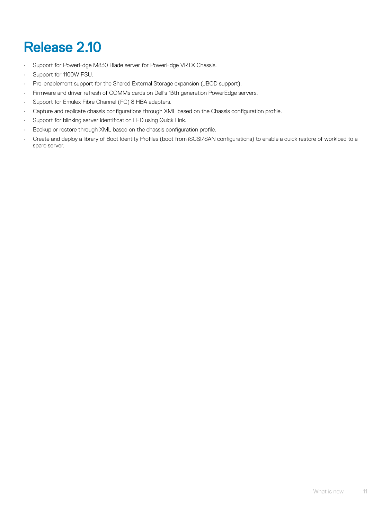# <span id="page-10-0"></span>Release 2.10

- Support for PowerEdge M830 Blade server for PowerEdge VRTX Chassis.
- Support for 1100W PSU.
- Pre-enablement support for the Shared External Storage expansion (JBOD support).
- Firmware and driver refresh of COMMs cards on Dell's 13th generation PowerEdge servers.
- Support for Emulex Fibre Channel (FC) 8 HBA adapters.
- Capture and replicate chassis configurations through XML based on the Chassis configuration profile.
- Support for blinking server identification LED using Quick Link.
- Backup or restore through XML based on the chassis configuration profile.
- Create and deploy a library of Boot Identity Profiles (boot from iSCSI/SAN configurations) to enable a quick restore of workload to a spare server.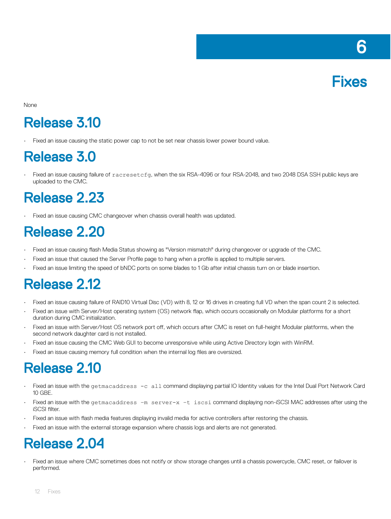

<span id="page-11-0"></span>None

## Release 3.10

• Fixed an issue causing the static power cap to not be set near chassis lower power bound value.

#### Release 3.0

• Fixed an issue causing failure of racresetcfg, when the six RSA-4096 or four RSA-2048, and two 2048 DSA SSH public keys are uploaded to the CMC.

#### Release 2.23

Fixed an issue causing CMC changeover when chassis overall health was updated.

#### Release 2.20

- Fixed an issue causing flash Media Status showing as "Version mismatch" during changeover or upgrade of the CMC.
- Fixed an issue that caused the Server Profile page to hang when a profile is applied to multiple servers.
- Fixed an issue limiting the speed of bNDC ports on some blades to 1 Gb after initial chassis turn on or blade insertion.

#### Release 2.12

- Fixed an issue causing failure of RAID10 Virtual Disc (VD) with 8, 12 or 16 drives in creating full VD when the span count 2 is selected.
- Fixed an issue with Server/Host operating system (OS) network flap, which occurs occasionally on Modular platforms for a short duration during CMC initialization.
- Fixed an issue with Server/Host OS network port off, which occurs after CMC is reset on full-height Modular platforms, when the second network daughter card is not installed.
- Fixed an issue causing the CMC Web GUI to become unresponsive while using Active Directory login with WinRM.
- Fixed an issue causing memory full condition when the internal log files are oversized

### Release 2.10

- Fixed an issue with the getmacaddress -c all command displaying partial IO Identity values for the Intel Dual Port Network Card 10 GBE.
- Fixed an issue with the getmacaddress –m server-x –t iscsi command displaying non-iSCSI MAC addresses after using the iSCSI filter.
- Fixed an issue with flash media features displaying invalid media for active controllers after restoring the chassis.
- Fixed an issue with the external storage expansion where chassis logs and alerts are not generated.

#### Release 2.04

Fixed an issue where CMC sometimes does not notify or show storage changes until a chassis powercycle, CMC reset, or failover is performed.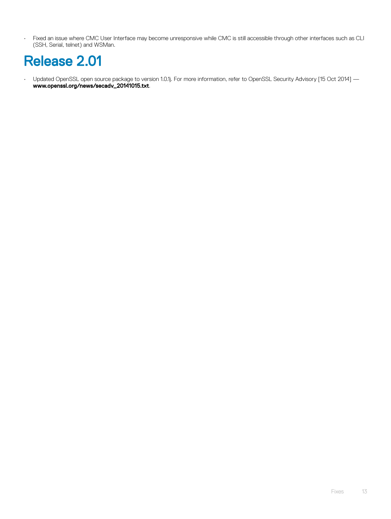<span id="page-12-0"></span>• Fixed an issue where CMC User Interface may become unresponsive while CMC is still accessible through other interfaces such as CLI (SSH, Serial, telnet) and WSMan.

## Release 2.01

• Updated OpenSSL open source package to version 1.0.1j. For more information, refer to OpenSSL Security Advisory [15 Oct 2014] www.openssl.org/news/secadv\_20141015.txt.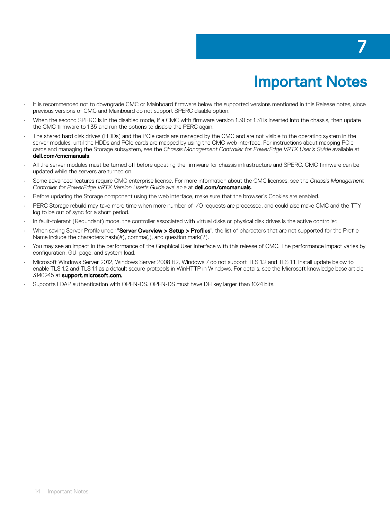# 7

# Important Notes

- <span id="page-13-0"></span>It is recommended not to downgrade CMC or Mainboard firmware below the supported versions mentioned in this Release notes, since previous versions of CMC and Mainboard do not support SPERC disable option.
- When the second SPERC is in the disabled mode, if a CMC with firmware version 1.30 or 1.31 is inserted into the chassis, then update the CMC firmware to 1.35 and run the options to disable the PERC again.
- The shared hard disk drives (HDDs) and the PCIe cards are managed by the CMC and are not visible to the operating system in the server modules, until the HDDs and PCIe cards are mapped by using the CMC web interface. For instructions about mapping PCIe cards and managing the Storage subsystem, see the *Chassis Management Controller for PowerEdge VRTX User's Guide* available at dell.com/cmcmanuals.
- All the server modules must be turned off before updating the firmware for chassis infrastructure and SPERC. CMC firmware can be updated while the servers are turned on.
- Some advanced features require CMC enterprise license. For more information about the CMC licenses, see the *Chassis Management Controller for PowerEdge VRTX Version User's Guide* available at dell.com/cmcmanuals.
- Before updating the Storage component using the web interface, make sure that the browser's Cookies are enabled.
- PERC Storage rebuild may take more time when more number of I/O requests are processed, and could also make CMC and the TTY log to be out of sync for a short period.
- In fault-tolerant (Redundant) mode, the controller associated with virtual disks or physical disk drives is the active controller.
- When saving Server Profile under "Server Overview > Setup > Profiles", the list of characters that are not supported for the Profile Name include the characters hash(#), comma(,), and question mark(?).
- You may see an impact in the performance of the Graphical User Interface with this release of CMC. The performance impact varies by configuration, GUI page, and system load.
- Microsoft Windows Server 2012, Windows Server 2008 R2, Windows 7 do not support TLS 1.2 and TLS 1.1. Install update below to enable TLS 1.2 and TLS 1.1 as a default secure protocols in WinHTTP in Windows. For details, see the Microsoft knowledge base article 3140245 at support.microsoft.com.
- Supports LDAP authentication with OPEN-DS. OPEN-DS must have DH key larger than 1024 bits.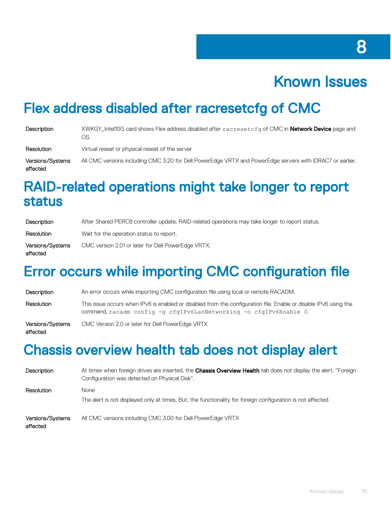## Known Issues

8

#### <span id="page-14-0"></span>Flex address disabled after racresetcfg of CMC

| Description                  | XWKGY_Intel10G card shows Flex address disabled after racresetcfg of CMC in <b>Network Device</b> page and<br>OS. |
|------------------------------|-------------------------------------------------------------------------------------------------------------------|
| Resolution                   | Virtual reseat or physical reseat of the server                                                                   |
| Versions/Systems<br>affected | All CMC versions including CMC 3.20 for Dell PowerEdge VRTX and PowerEdge servers with iDRAC7 or earlier.         |

#### RAID-related operations might take longer to report status

| Description                  | After Shared PERC8 controller update, RAID-related operations may take longer to report status. |
|------------------------------|-------------------------------------------------------------------------------------------------|
| Resolution                   | Wait for the operation status to report.                                                        |
| Versions/Systems<br>affected | CMC version 2.01 or later for Dell PowerEdge VRTX.                                              |

#### Error occurs while importing CMC configuration file

| Description                  | An error occurs while importing CMC configuration file using local or remote RACADM.                                                                                                   |
|------------------------------|----------------------------------------------------------------------------------------------------------------------------------------------------------------------------------------|
| Resolution                   | This issue occurs when IPv6 is enabled or disabled from the configuration file. Enable or disable IPv6 using the<br>command, racadm config -g cfgIPv6LanNetworking -o cfgIPv6Enable 0. |
| Versions/Systems<br>affected | CMC Version 2.0 or later for Dell PowerEdge VRTX                                                                                                                                       |

#### Chassis overview health tab does not display alert

| Description                  | At times when foreign drives are inserted, the <b>Chassis Overview Health</b> tab does not display the alert, "Foreign<br>Configuration was detected on Physical Disk". |
|------------------------------|-------------------------------------------------------------------------------------------------------------------------------------------------------------------------|
| Resolution                   | None<br>The alert is not displayed only at times. But, the functionality for foreign configuration is not affected.                                                     |
| Versions/Systems<br>affected | All CMC versions including CMC 3.00 for Dell PowerEdge VRTX                                                                                                             |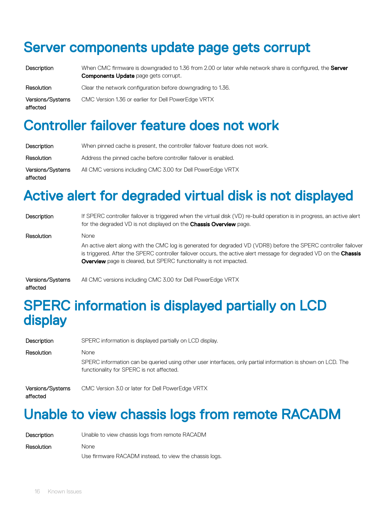#### <span id="page-15-0"></span>Server components update page gets corrupt

| Description |  |
|-------------|--|
|             |  |

When CMC firmware is downgraded to 1.36 from 2.00 or later while network share is configured, the Server **Components Update** page gets corrupt.

Resolution Clear the network configuration before downgrading to 1.36. Versions/Systems affected CMC Version 1.36 or earlier for Dell PowerEdge VRTX

#### Controller failover feature does not work

| Description                  | When pinned cache is present, the controller failover feature does not work. |
|------------------------------|------------------------------------------------------------------------------|
| Resolution                   | Address the pinned cache before controller failover is enabled.              |
| Versions/Systems<br>affected | All CMC versions including CMC 3.00 for Dell PowerEdge VRTX                  |

#### Active alert for degraded virtual disk is not displayed

| Description      | If SPERC controller failover is triggered when the virtual disk (VD) re-build operation is in progress, an active alert<br>for the degraded VD is not displayed on the <b>Chassis Overview</b> page.                                                                                                                             |
|------------------|----------------------------------------------------------------------------------------------------------------------------------------------------------------------------------------------------------------------------------------------------------------------------------------------------------------------------------|
| Resolution       | <b>None</b><br>An active alert along with the CMC log is generated for degraded VD (VDR8) before the SPERC controller failover<br>is triggered. After the SPERC controller failover occurs, the active alert message for degraded VD on the Chassis<br><b>Overview</b> page is cleared, but SPERC functionality is not impacted. |
| Versions/Systems | All CMC versions including CMC 3.00 for Dell PowerEdge VRTX                                                                                                                                                                                                                                                                      |

#### affected

#### SPERC information is displayed partially on LCD display

| Description                  | SPERC information is displayed partially on LCD display.                                                                                                        |
|------------------------------|-----------------------------------------------------------------------------------------------------------------------------------------------------------------|
| Resolution                   | None<br>SPERC information can be queried using other user interfaces, only partial information is shown on LCD. The<br>functionality for SPERC is not affected. |
| Versions/Systems<br>affected | CMC Version 3.0 or later for Dell PowerEdge VRTX                                                                                                                |

#### Unable to view chassis logs from remote RACADM

| Description | Unable to view chassis logs from remote RACADM         |
|-------------|--------------------------------------------------------|
| Resolution  | <b>None</b>                                            |
|             | Use firmware RACADM instead, to view the chassis logs. |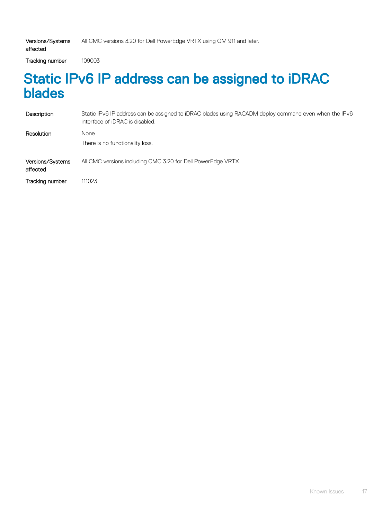Tracking number 109003

<span id="page-16-0"></span>affected

#### Static IPv6 IP address can be assigned to iDRAC blades

| Description                  | Static IPv6 IP address can be assigned to iDRAC blades using RACADM deploy command even when the IPv6<br>interface of iDRAC is disabled. |
|------------------------------|------------------------------------------------------------------------------------------------------------------------------------------|
| Resolution                   | None                                                                                                                                     |
|                              | There is no functionality loss.                                                                                                          |
| Versions/Systems<br>affected | All CMC versions including CMC 3.20 for Dell PowerEdge VRTX                                                                              |
| Tracking number              | 111023                                                                                                                                   |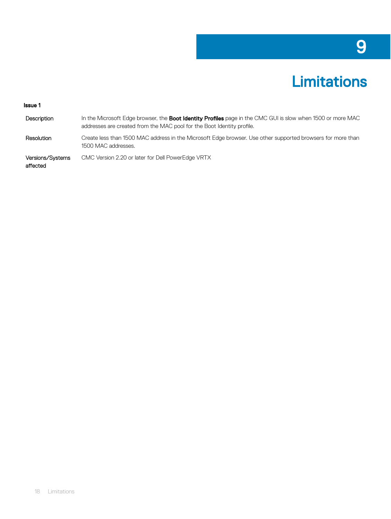# **Limitations**

#### <span id="page-17-0"></span>Issue 1

| Description                  | In the Microsoft Edge browser, the <b>Boot Identity Profiles</b> page in the CMC GUI is slow when 1500 or more MAC<br>addresses are created from the MAC pool for the Boot Identity profile. |
|------------------------------|----------------------------------------------------------------------------------------------------------------------------------------------------------------------------------------------|
| Resolution                   | Create less than 1500 MAC address in the Microsoft Edge browser. Use other supported browsers for more than<br>1500 MAC addresses.                                                           |
| Versions/Systems<br>affected | CMC Version 2.20 or later for Dell PowerEdge VRTX                                                                                                                                            |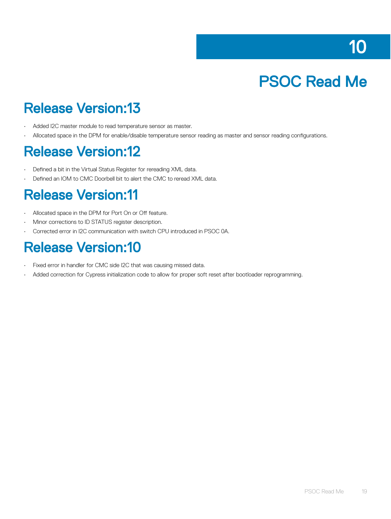# PSOC Read Me

#### <span id="page-18-0"></span>Release Version:13

- Added I2C master module to read temperature sensor as master.
- Allocated space in the DPM for enable/disable temperature sensor reading as master and sensor reading configurations.

#### Release Version:12

- $\cdot$  Defined a bit in the Virtual Status Register for rereading XML data.
- Defined an IOM to CMC Doorbell bit to alert the CMC to reread XML data.

#### Release Version:11

- Allocated space in the DPM for Port On or Off feature.
- Minor corrections to ID STATUS register description.
- Corrected error in I2C communication with switch CPU introduced in PSOC 0A.

#### Release Version:10

- Fixed error in handler for CMC side I2C that was causing missed data.
- Added correction for Cypress initialization code to allow for proper soft reset after bootloader reprogramming.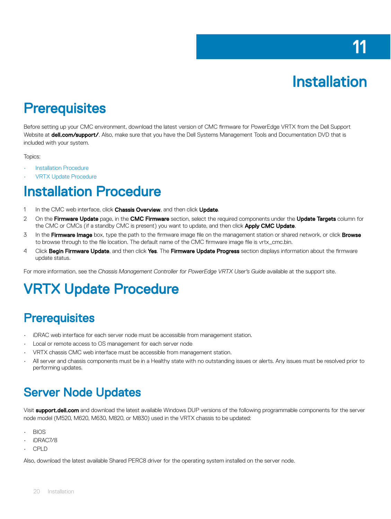# Installation

#### <span id="page-19-0"></span>**Prerequisites**

Before setting up your CMC environment, download the latest version of CMC firmware for PowerEdge VRTX from the Dell Support Website at **dell.com/support/**. Also, make sure that you have the Dell Systems Management Tools and Documentation DVD that is included with your system.

Topics:

- **Installation Procedure**
- VRTX Update Procedure

#### Installation Procedure

- 1 In the CMC web interface, click Chassis Overview, and then click Update.
- 2 On the Firmware Update page, in the CMC Firmware section, select the required components under the Update Targets column for the CMC or CMCs (if a standby CMC is present) you want to update, and then click Apply CMC Update.
- 3 In the Firmware Image box, type the path to the firmware image file on the management station or shared network, or click Browse to browse through to the file location. The default name of the CMC firmware image file is vrtx\_cmc.bin.
- 4 Click Begin Firmware Update, and then click Yes. The Firmware Update Progress section displays information about the firmware update status.

For more information, see the *Chassis Management Controller for PowerEdge VRTX User's Guide* available at the support site.

### VRTX Update Procedure

#### **Prerequisites**

- iDRAC web interface for each server node must be accessible from management station.
- Local or remote access to OS management for each server node
- VRTX chassis CMC web interface must be accessible from management station.
- All server and chassis components must be in a Healthy state with no outstanding issues or alerts. Any issues must be resolved prior to performing updates.

#### Server Node Updates

Visit **support.dell.com** and download the latest available Windows DUP versions of the following programmable components for the server node model (M520, M620, M630, M820, or M830) used in the VRTX chassis to be updated:

- BIOS
- iDRAC7/8
- CPLD

Also, download the latest available Shared PERC8 driver for the operating system installed on the server node.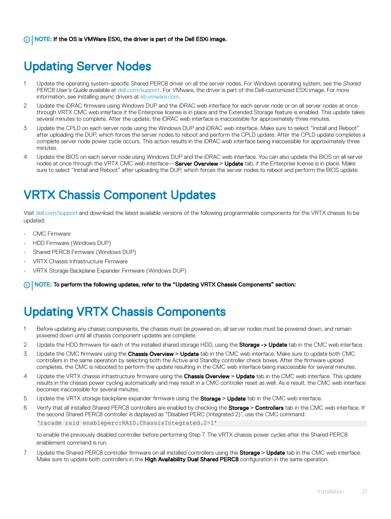#### <span id="page-20-0"></span>Updating Server Nodes

- 1 Update the operating system-specic Shared PERC8 driver on all the server nodes. For Windows operating system, see the *Shared PERC8 User's Guide* available at [dell.com/support](https://www.dell.com/support/home/us/en/04). For VMware, the driver is part of the Dell-customized ESXi image. For more information, see installing async drivers at [kb.vmware.com.](https://kb.vmware.com/s/)
- 2 Update the iDRAC firmware using Windows DUP and the iDRAC web interface for each server node or on all server nodes at once through VRTX CMC web interface if the Enterprise license is in place and the Extended Storage feature is enabled. This update takes several minutes to complete. After the update, the iDRAC web interface is inaccessible for approximately three minutes.
- 3 Update the CPLD on each server node using the Windows DUP and iDRAC web interface. Make sure to select "Install and Reboot" after uploading the DUP, which forces the server nodes to reboot and perform the CPLD update. After the CPLD update completes a complete server node power cycle occurs. This action results in the iDRAC web interface being inaccessible for approximately three minutes.
- 4 Update the BIOS on each server node using Windows DUP and the iDRAC web interface. You can also update the BIOS on all server nodes at once through the VRTX CMC web interface—Server Overview **>** Update tab, if the Enterprise license is in place. Make sure to select "Install and Reboot" after uploading the DUP, which forces the server nodes to reboot and perform the BIOS update.

#### VRTX Chassis Component Updates

Visit [dell.com/support](https://www.dell.com/support/home/us/en/04) and download the latest available versions of the following programmable components for the VRTX chassis to be updated:

- CMC Firmware
- HDD Firmware (Windows DUP)
- Shared PERC8 Firmware (Windows DUP)
- VRTX Chassis Infrastructure Firmware
- VRTX Storage Backplane Expander Firmware (Windows DUP)

NOTE: To perform the following updates, refer to the "Updating VRTX Chassis Components" section:  $\Omega$ 

#### Updating VRTX Chassis Components

- 1 Before updating any chassis components, the chassis must be powered on, all server nodes must be powered down, and remain powered down until all chassis component updates are complete.
- 2 Update the HDD firmware for each of the installed shared storage HDD, using the **Storage -> Update** tab in the CMC web interface.
- 3 Update the CMC firmware using the **Chassis Overview > Update** tab in the CMC web interface. Make sure to update both CMC controllers in the same operation by selecting both the Active and Standby controller check boxes. After the firmware upload completes, the CMC is rebooted to perform the update resulting in the CMC web interface being inaccessible for several minutes.
- 4 Update the VRTX chassis infrastructure firmware using the **Chassis Overview > Update** tab in the CMC web interface. This update results in the chassis power cycling automatically and may result in a CMC controller reset as well. As e result, the CMC web interface becomes inaccessible for several minutes.
- 5 Update the VRTX storage backplane expander rmware using the Storage **>** Update tab in the CMC web interface.
- 6 Verify that all installed Shared PERC8 controllers are enabled by checking the Storage **>** Controllers tab in the CMC web interface. If the second Shared PERC8 controller is displayed as "Disabled PERC (Integrated 2)", use the CMC command: 'racadm raid enableperc:RAID.ChassisIntegrated.2-1'

to enable the previously disabled controller before performing Step 7. The VRTX chassis power cycles after the Shared PERC8 enablement command is run.

7 Update the Shared PERC8 controller firmware on all installed controllers using the **Storage > Update** tab in the CMC web interface. Make sure to update both controllers in the High Availability Dual Shared PERC8 configuration in the same operation.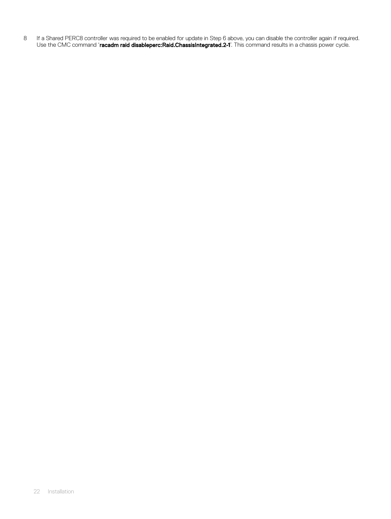8 If a Shared PERC8 controller was required to be enabled for update in Step 6 above, you can disable the controller again if required. Use the CMC command '**racadm raid disableperc:Raid.ChassisIntegrated.2-1**'. This command results in a chassis power cycle.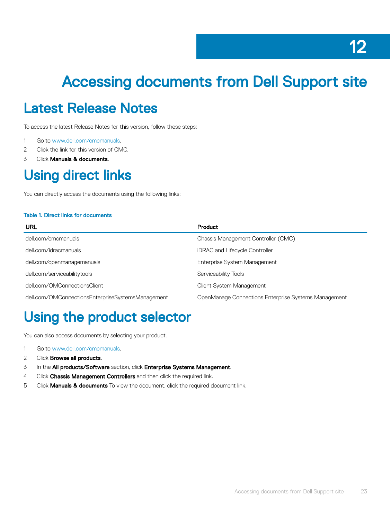# <span id="page-22-0"></span>Accessing documents from Dell Support site

#### Latest Release Notes

To access the latest Release Notes for this version, follow these steps:

- 1 Go to [www.dell.com/cmcmanuals](http://www.dell.com/cmcmanuals).
- 2 Click the link for this version of CMC.
- 3 Click Manuals & documents.

#### Using direct links

You can directly access the documents using the following links:

#### Table 1. Direct links for documents

| URL                                               | Product                                              |
|---------------------------------------------------|------------------------------------------------------|
| dell.com/cmcmanuals                               | Chassis Management Controller (CMC)                  |
| dell.com/idracmanuals                             | iDRAC and Lifecycle Controller                       |
| dell.com/openmanagemanuals                        | Enterprise System Management                         |
| dell.com/serviceabilitytools                      | Serviceability Tools                                 |
| dell.com/OMConnectionsClient                      | Client System Management                             |
| dell.com/OMConnectionsEnterpriseSystemsManagement | OpenManage Connections Enterprise Systems Management |

#### Using the product selector

You can also access documents by selecting your product.

- 1 Go to [www.dell.com/cmcmanuals](http://www.dell.com/cmcmanuals).
- 2 Click **Browse all products**.
- 3 In the All products/Software section, click Enterprise Systems Management.
- 4 Click Chassis Management Controllers and then click the required link.
- 5 Click **Manuals & documents** To view the document, click the required document link.